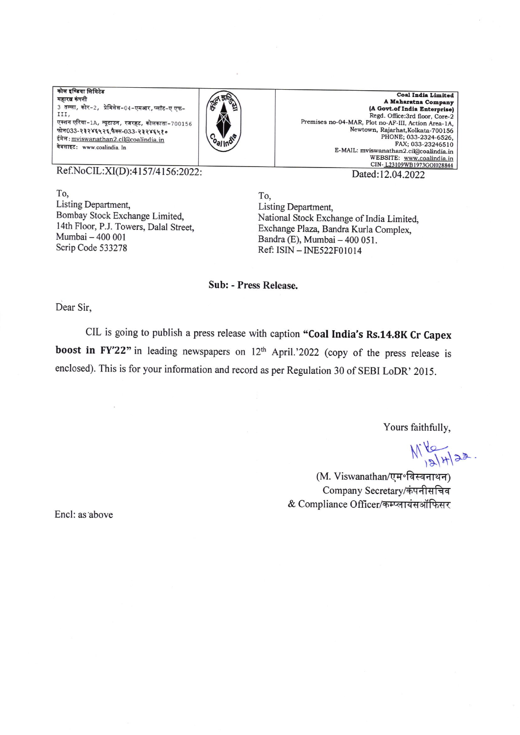कोल इण्डिया लिमिटेड महारत्न कंपनी 3 तल्ला, कोर-2, प्रेमिसेस-04-एमआर, प्लॉट-ए एफ-III. एक्शन एरिया-1A, न्यूटाउन, रजरहट, कोलकाता-700156 फोन033-२३२४६५२६,फैक्स-033-२३२४६५१० ईमेल: mviswanathan2.cil@coalindia.in वेबसाइट: www.coalindia. In



**Coal India Limited** A Maharatna Company (A Govt.of India Enterprise) Regd. Office:3rd floor, Core-2 Premises no-04-MAR, Plot no-AF-III, Action Area-1A. Newtown, Rajarhat, Kolkata-700156 PHONE; 033-2324-6526, FAX; 033-23246510 E-MAIL: mviswanathan2.cil@coalindia.in website: www.coalindia.in<br>WEBSITE: www.coalindia.in<br>CIN-L23109WB1973G01028844

Ref.NoCIL:XI(D):4157/4156:2022:

To. Listing Department, Bombay Stock Exchange Limited, 14th Floor, P.J. Towers, Dalal Street, Mumbai - 400 001 Scrip Code 533278

Dated:12.04.2022

To, Listing Department, National Stock Exchange of India Limited, Exchange Plaza, Bandra Kurla Complex, Bandra (E), Mumbai - 400 051. Ref: ISIN - INE522F01014

**Sub: - Press Release.** 

Dear Sir,

CIL is going to publish a press release with caption "Coal India's Rs.14.8K Cr Capex boost in FY'22" in leading newspapers on 12th April.'2022 (copy of the press release is enclosed). This is for your information and record as per Regulation 30 of SEBI LoDR' 2015.

Yours faithfully,

 $M_{121}^{16}$ 

(M. Viswanathan/एम॰विस्वनाथन) Company Secretary/कंपनीसचिव & Compliance Officer/कम्प्लायंसऑफिसर

Encl: as above